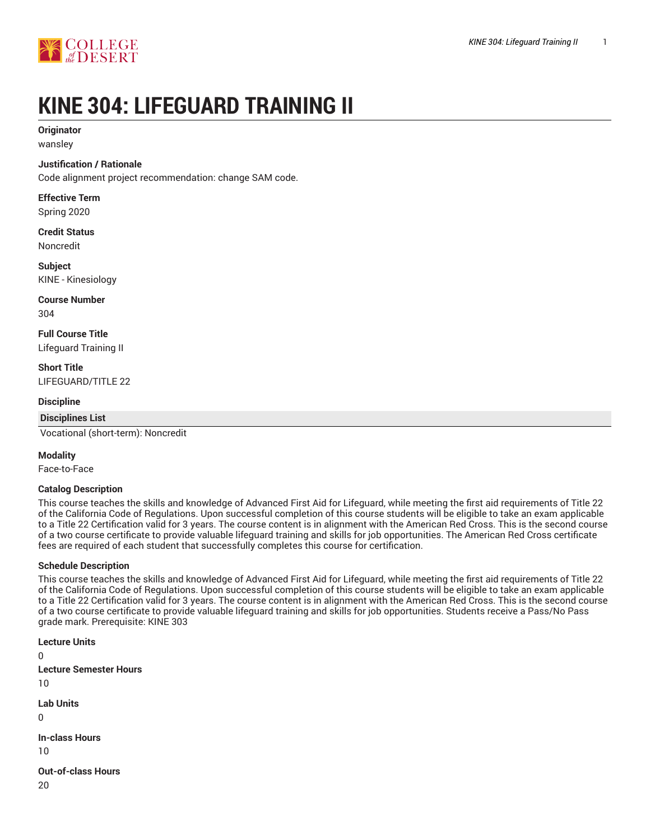



# **KINE 304: LIFEGUARD TRAINING II**

## **Originator**

wansley

## **Justification / Rationale**

Code alignment project recommendation: change SAM code.

## **Effective Term**

Spring 2020

#### **Credit Status** Noncredit

**Subject**

KINE - Kinesiology

**Course Number** 304

**Full Course Title** Lifeguard Training II

**Short Title** LIFEGUARD/TITLE 22

### **Discipline**

**Disciplines List**

Vocational (short-term): Noncredit

## **Modality**

Face-to-Face

## **Catalog Description**

This course teaches the skills and knowledge of Advanced First Aid for Lifeguard, while meeting the first aid requirements of Title 22 of the California Code of Regulations. Upon successful completion of this course students will be eligible to take an exam applicable to a Title 22 Certification valid for 3 years. The course content is in alignment with the American Red Cross. This is the second course of a two course certificate to provide valuable lifeguard training and skills for job opportunities. The American Red Cross certificate fees are required of each student that successfully completes this course for certification.

## **Schedule Description**

This course teaches the skills and knowledge of Advanced First Aid for Lifeguard, while meeting the first aid requirements of Title 22 of the California Code of Regulations. Upon successful completion of this course students will be eligible to take an exam applicable to a Title 22 Certification valid for 3 years. The course content is in alignment with the American Red Cross. This is the second course of a two course certificate to provide valuable lifeguard training and skills for job opportunities. Students receive a Pass/No Pass grade mark. Prerequisite: KINE 303

**Lecture Units** 0 **Lecture Semester Hours** 10 **Lab Units**  $\Omega$ **In-class Hours** 10 **Out-of-class Hours**

20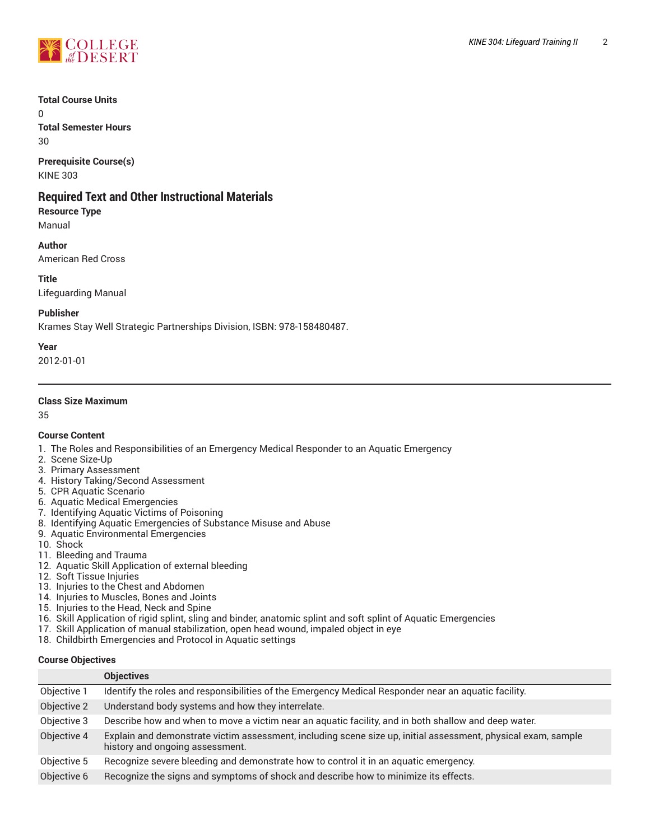

#### **Total Course Units**

 $\Omega$ 

**Total Semester Hours** 30

**Prerequisite Course(s)** KINE 303

## **Required Text and Other Instructional Materials**

**Resource Type** Manual

**Author**

American Red Cross

## **Title**

Lifeguarding Manual

## **Publisher**

Krames Stay Well Strategic Partnerships Division, ISBN: 978-158480487.

## **Year**

2012-01-01

## **Class Size Maximum**

35

## **Course Content**

1. The Roles and Responsibilities of an Emergency Medical Responder to an Aquatic Emergency

- 2. Scene Size-Up
- 3. Primary Assessment
- 4. History Taking/Second Assessment
- 5. CPR Aquatic Scenario
- 6. Aquatic Medical Emergencies
- 7. Identifying Aquatic Victims of Poisoning
- 8. Identifying Aquatic Emergencies of Substance Misuse and Abuse
- 9. Aquatic Environmental Emergencies
- 10. Shock
- 11. Bleeding and Trauma
- 12. Aquatic Skill Application of external bleeding
- 12. Soft Tissue Injuries
- 13. Injuries to the Chest and Abdomen
- 14. Injuries to Muscles, Bones and Joints
- 15. Injuries to the Head, Neck and Spine
- 16. Skill Application of rigid splint, sling and binder, anatomic splint and soft splint of Aquatic Emergencies
- 17. Skill Application of manual stabilization, open head wound, impaled object in eye
- 18. Childbirth Emergencies and Protocol in Aquatic settings

## **Course Objectives**

|             | <b>Objectives</b>                                                                                                                                |
|-------------|--------------------------------------------------------------------------------------------------------------------------------------------------|
| Objective 1 | Identify the roles and responsibilities of the Emergency Medical Responder near an aquatic facility.                                             |
| Objective 2 | Understand body systems and how they interrelate.                                                                                                |
| Objective 3 | Describe how and when to move a victim near an aquatic facility, and in both shallow and deep water.                                             |
| Objective 4 | Explain and demonstrate victim assessment, including scene size up, initial assessment, physical exam, sample<br>history and ongoing assessment. |
| Objective 5 | Recognize severe bleeding and demonstrate how to control it in an aquatic emergency.                                                             |
| Objective 6 | Recognize the signs and symptoms of shock and describe how to minimize its effects.                                                              |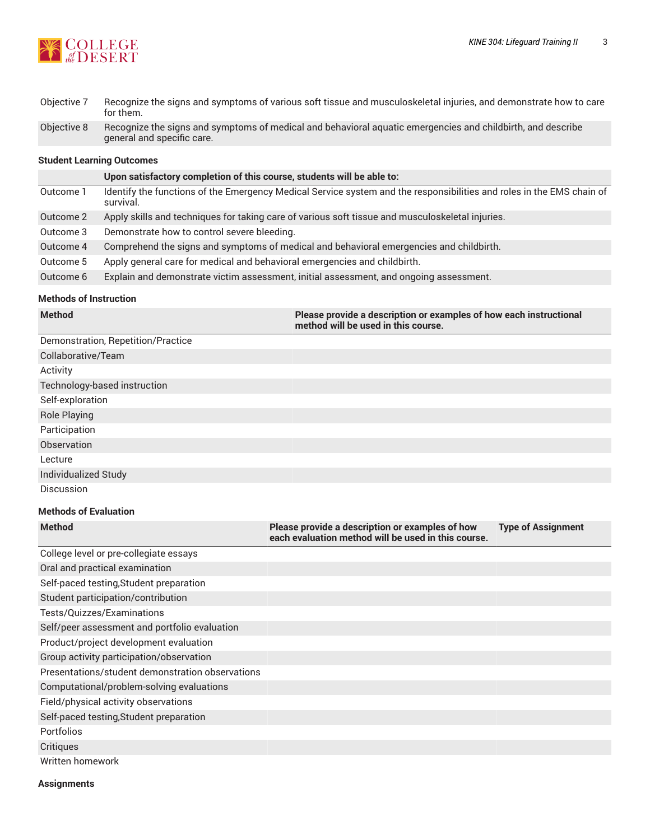

| Objective 7 | Recognize the signs and symptoms of various soft tissue and musculoskeletal injuries, and demonstrate how to care<br>for them. |
|-------------|--------------------------------------------------------------------------------------------------------------------------------|
|             |                                                                                                                                |

Objective 8 Recognize the signs and symptoms of medical and behavioral aquatic emergencies and childbirth, and describe general and specific care.

## **Student Learning Outcomes**

| Upon satisfactory completion of this course, students will be able to:                                                             |
|------------------------------------------------------------------------------------------------------------------------------------|
| Identify the functions of the Emergency Medical Service system and the responsibilities and roles in the EMS chain of<br>survival. |
| Apply skills and techniques for taking care of various soft tissue and musculoskeletal injuries.                                   |
| Demonstrate how to control severe bleeding.                                                                                        |
| Comprehend the signs and symptoms of medical and behavioral emergencies and childbirth.                                            |
| Apply general care for medical and behavioral emergencies and childbirth.                                                          |
| Explain and demonstrate victim assessment, initial assessment, and ongoing assessment.                                             |
|                                                                                                                                    |

### **Methods of Instruction**

| <b>Method</b>                      | Please provide a description or examples of how each instructional<br>method will be used in this course. |
|------------------------------------|-----------------------------------------------------------------------------------------------------------|
| Demonstration, Repetition/Practice |                                                                                                           |
| Collaborative/Team                 |                                                                                                           |
| Activity                           |                                                                                                           |
| Technology-based instruction       |                                                                                                           |
| Self-exploration                   |                                                                                                           |
| <b>Role Playing</b>                |                                                                                                           |
| Participation                      |                                                                                                           |
| Observation                        |                                                                                                           |
| Lecture                            |                                                                                                           |
| Individualized Study               |                                                                                                           |
| Discussion                         |                                                                                                           |

## **Methods of Evaluation**

| <b>Method</b>                                    | Please provide a description or examples of how<br>each evaluation method will be used in this course. | <b>Type of Assignment</b> |
|--------------------------------------------------|--------------------------------------------------------------------------------------------------------|---------------------------|
| College level or pre-collegiate essays           |                                                                                                        |                           |
| Oral and practical examination                   |                                                                                                        |                           |
| Self-paced testing, Student preparation          |                                                                                                        |                           |
| Student participation/contribution               |                                                                                                        |                           |
| Tests/Quizzes/Examinations                       |                                                                                                        |                           |
| Self/peer assessment and portfolio evaluation    |                                                                                                        |                           |
| Product/project development evaluation           |                                                                                                        |                           |
| Group activity participation/observation         |                                                                                                        |                           |
| Presentations/student demonstration observations |                                                                                                        |                           |
| Computational/problem-solving evaluations        |                                                                                                        |                           |
| Field/physical activity observations             |                                                                                                        |                           |
| Self-paced testing, Student preparation          |                                                                                                        |                           |
| Portfolios                                       |                                                                                                        |                           |
| Critiques                                        |                                                                                                        |                           |
| Written homework                                 |                                                                                                        |                           |

**Assignments**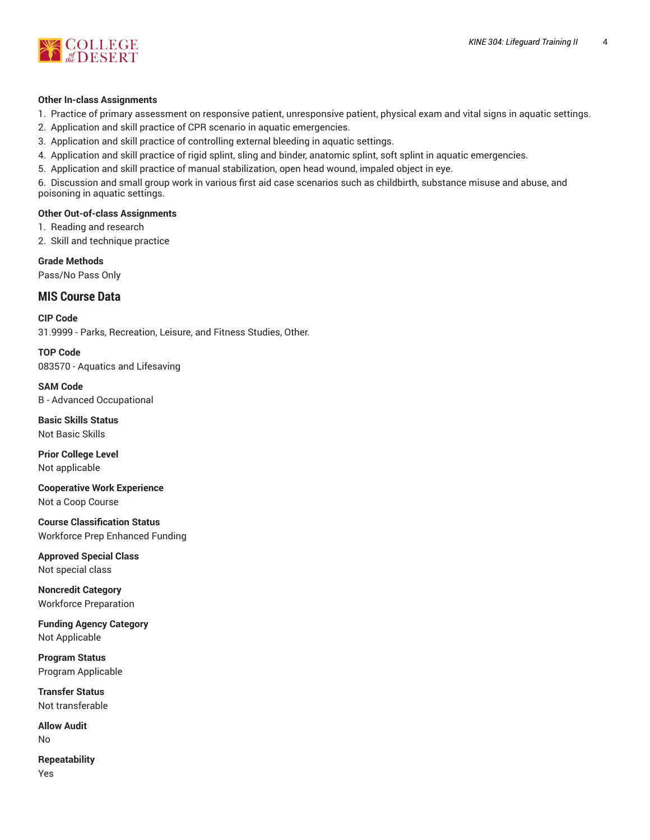

#### **Other In-class Assignments**

- 1. Practice of primary assessment on responsive patient, unresponsive patient, physical exam and vital signs in aquatic settings.
- 2. Application and skill practice of CPR scenario in aquatic emergencies.
- 3. Application and skill practice of controlling external bleeding in aquatic settings.
- 4. Application and skill practice of rigid splint, sling and binder, anatomic splint, soft splint in aquatic emergencies.
- 5. Application and skill practice of manual stabilization, open head wound, impaled object in eye.

6. Discussion and small group work in various first aid case scenarios such as childbirth, substance misuse and abuse, and poisoning in aquatic settings.

## **Other Out-of-class Assignments**

1. Reading and research

2. Skill and technique practice

**Grade Methods** Pass/No Pass Only

## **MIS Course Data**

**CIP Code** 31.9999 - Parks, Recreation, Leisure, and Fitness Studies, Other.

**TOP Code** 083570 - Aquatics and Lifesaving

**SAM Code** B - Advanced Occupational

**Basic Skills Status** Not Basic Skills

**Prior College Level** Not applicable

**Cooperative Work Experience** Not a Coop Course

**Course Classification Status** Workforce Prep Enhanced Funding

**Approved Special Class** Not special class

**Noncredit Category** Workforce Preparation

**Funding Agency Category** Not Applicable

**Program Status** Program Applicable

**Transfer Status** Not transferable

**Allow Audit** No

**Repeatability** Yes